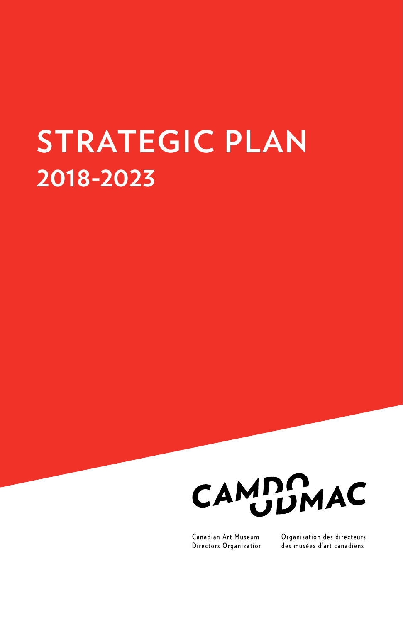# **STRATEGIC PLAN 2018-2023**



Canadian Art Museum Directors Organization Organisation des directeurs des musées d'art canadiens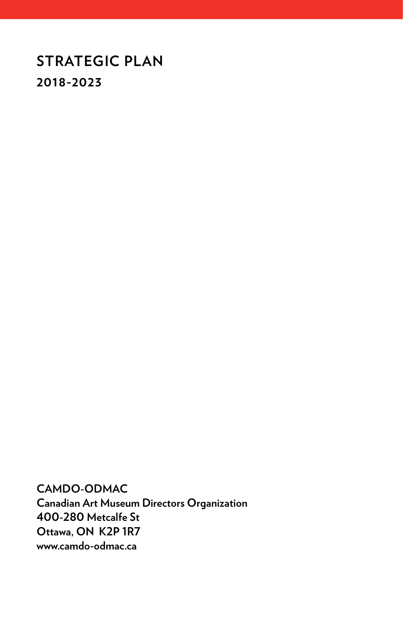### **STRATEGIC PLAN 2018-2023**

**CAMDO-ODMAC Canadian Art Museum Directors Organization 400-280 Metcalfe St Ottawa, ON K2P 1R7 www.camdo-odmac.ca**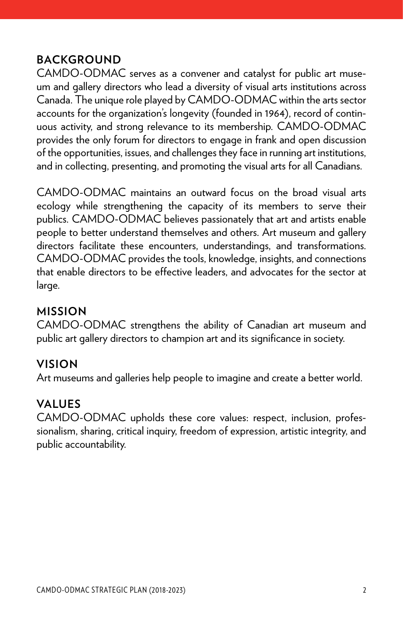### **BACKGROUND**

CAMDO-ODMAC serves as a convener and catalyst for public art museum and gallery directors who lead a diversity of visual arts institutions across Canada. The unique role played by CAMDO-ODMAC within the arts sector accounts for the organization's longevity (founded in 1964), record of continuous activity, and strong relevance to its membership. CAMDO-ODMAC provides the only forum for directors to engage in frank and open discussion of the opportunities, issues, and challenges they face in running art institutions, and in collecting, presenting, and promoting the visual arts for all Canadians.

CAMDO-ODMAC maintains an outward focus on the broad visual arts ecology while strengthening the capacity of its members to serve their publics. CAMDO-ODMAC believes passionately that art and artists enable people to better understand themselves and others. Art museum and gallery directors facilitate these encounters, understandings, and transformations. CAMDO-ODMAC provides the tools, knowledge, insights, and connections that enable directors to be effective leaders, and advocates for the sector at large.

### **MISSION**

CAMDO-ODMAC strengthens the ability of Canadian art museum and public art gallery directors to champion art and its significance in society.

### **VISION**

Art museums and galleries help people to imagine and create a better world.

### **VALUES**

CAMDO-ODMAC upholds these core values: respect, inclusion, professionalism, sharing, critical inquiry, freedom of expression, artistic integrity, and public accountability.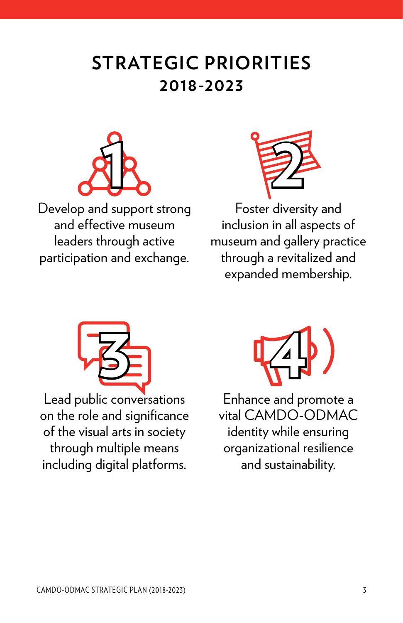## **STRATEGIC PRIORITIES 2018-2023**



Develop and support strong and effective museum leaders through active participation and exchange.



Foster diversity and inclusion in all aspects of museum and gallery practice through a revitalized and expanded membership.



Lead public conversations on the role and significance of the visual arts in society through multiple means including digital platforms.



Enhance and promote a vital CAMDO-ODMAC identity while ensuring organizational resilience and sustainability.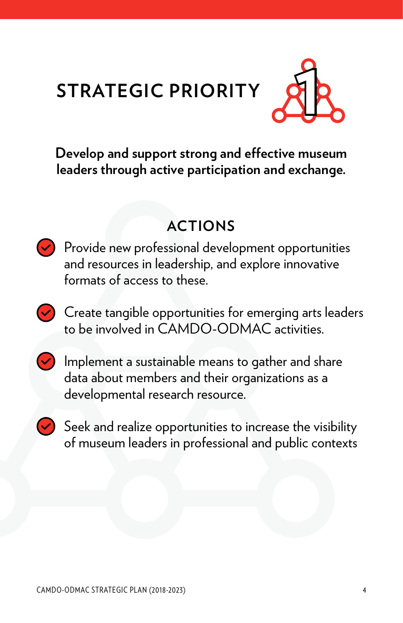# **STRATEGIC PRIORITY**



**Develop and support strong and effective museum leaders through active participation and exchange.**

## **ACTIONS**

- $\vee$  Provide new professional development opportunities and resources in leadership, and explore innovative formats of access to these.
- $\vee$  Create tangible opportunities for emerging arts leaders to be involved in CAMDO-ODMAC activities.
- $\vee$  Implement a sustainable means to gather and share data about members and their organizations as a developmental research resource.
- $\blacktriangleright$  Seek and realize opportunities to increase the visibility of museum leaders in professional and public contexts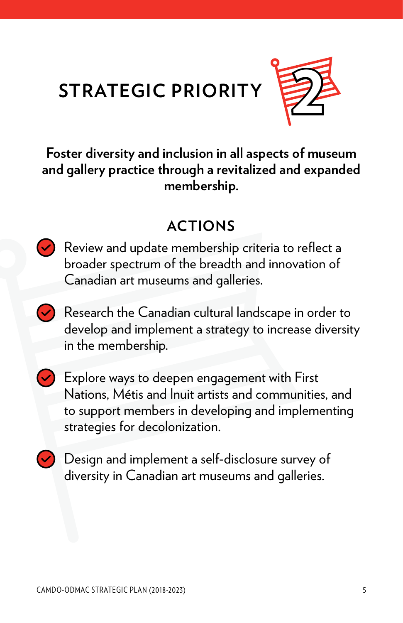



**Foster diversity and inclusion in all aspects of museum and gallery practice through a revitalized and expanded membership.**

### **ACTIONS**

Review and update membership criteria to reflect a broader spectrum of the breadth and innovation of Canadian art museums and galleries.

 $\vee$  Research the Canadian cultural landscape in order to develop and implement a strategy to increase diversity in the membership.



 $\vee$  Explore ways to deepen engagement with First Nations, Métis and Inuit artists and communities, and to support members in developing and implementing strategies for decolonization.

 $\vee$  Design and implement a self-disclosure survey of diversity in Canadian art museums and galleries.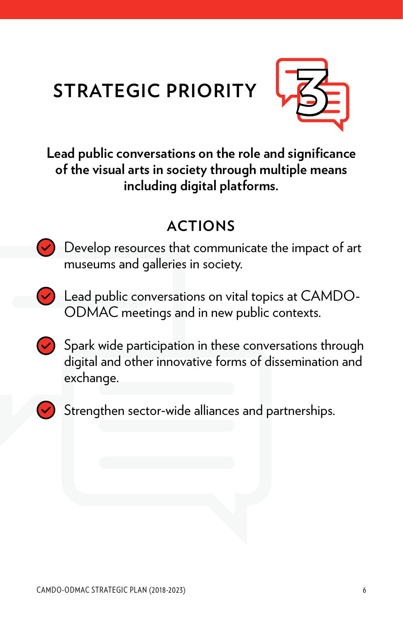## **STRATEGIC PRIORITY**



**Lead public conversations on the role and significance of the visual arts in society through multiple means including digital platforms.**

### **ACTIONS**

 $\vee$  Develop resources that communicate the impact of art museums and galleries in society.

 $\triangledown$  Lead public conversations on vital topics at CAMDO-ODMAC meetings and in new public contexts.

 $\blacktriangleright$  Spark wide participation in these conversations through digital and other innovative forms of dissemination and exchange.



 $\blacktriangleright$  Strengthen sector-wide alliances and partnerships.